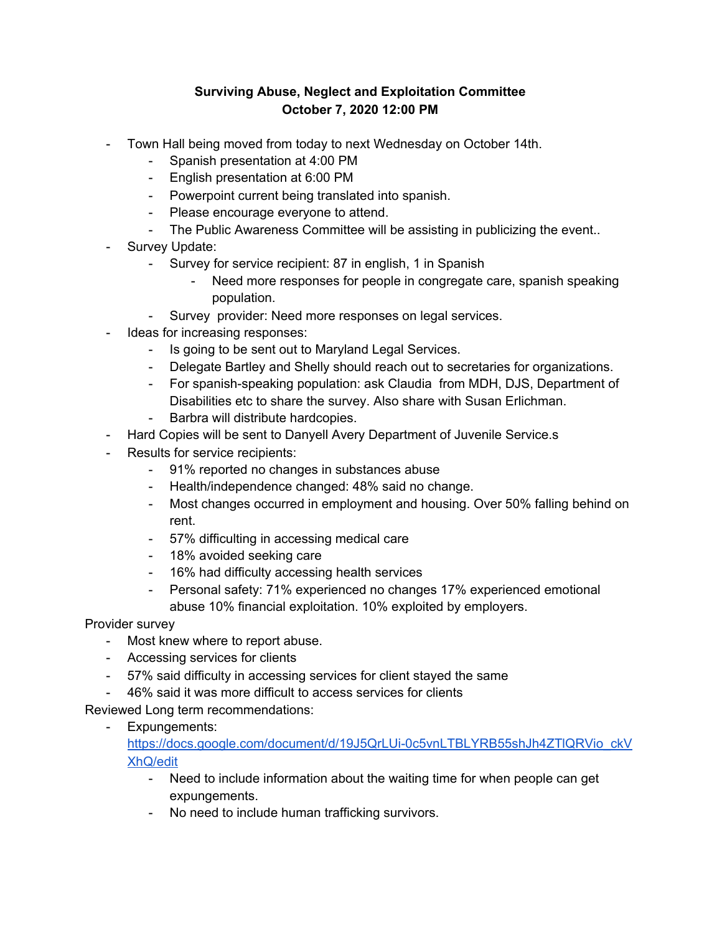## **Surviving Abuse, Neglect and Exploitation Committee October 7, 2020 12:00 PM**

- Town Hall being moved from today to next Wednesday on October 14th.
	- Spanish presentation at 4:00 PM
	- English presentation at 6:00 PM
	- Powerpoint current being translated into spanish.
	- Please encourage everyone to attend.
	- The Public Awareness Committee will be assisting in publicizing the event..
- Survey Update:
	- Survey for service recipient: 87 in english, 1 in Spanish
		- Need more responses for people in congregate care, spanish speaking population.
	- Survey provider: Need more responses on legal services.
- Ideas for increasing responses:
	- Is going to be sent out to Maryland Legal Services.
	- Delegate Bartley and Shelly should reach out to secretaries for organizations.
	- For spanish-speaking population: ask Claudia from MDH, DJS, Department of Disabilities etc to share the survey. Also share with Susan Erlichman.
	- Barbra will distribute hardcopies.
- Hard Copies will be sent to Danyell Avery Department of Juvenile Service.s
- Results for service recipients:
	- 91% reported no changes in substances abuse
	- Health/independence changed: 48% said no change.
	- Most changes occurred in employment and housing. Over 50% falling behind on rent.
	- 57% difficulting in accessing medical care
	- 18% avoided seeking care
	- 16% had difficulty accessing health services
	- Personal safety: 71% experienced no changes 17% experienced emotional abuse 10% financial exploitation. 10% exploited by employers.

Provider survey

- Most knew where to report abuse.
- Accessing services for clients
- 57% said difficulty in accessing services for client stayed the same
- 46% said it was more difficult to access services for clients

Reviewed Long term recommendations:

- Expungements:

[https://docs.google.com/document/d/19J5QrLUi-0c5vnLTBLYRB55shJh4ZTlQRVio\\_ckV](https://docs.google.com/document/d/19J5QrLUi-0c5vnLTBLYRB55shJh4ZTlQRVio_ckVXhQ/edit) [XhQ/edit](https://docs.google.com/document/d/19J5QrLUi-0c5vnLTBLYRB55shJh4ZTlQRVio_ckVXhQ/edit)

- Need to include information about the waiting time for when people can get expungements.
- No need to include human trafficking survivors.